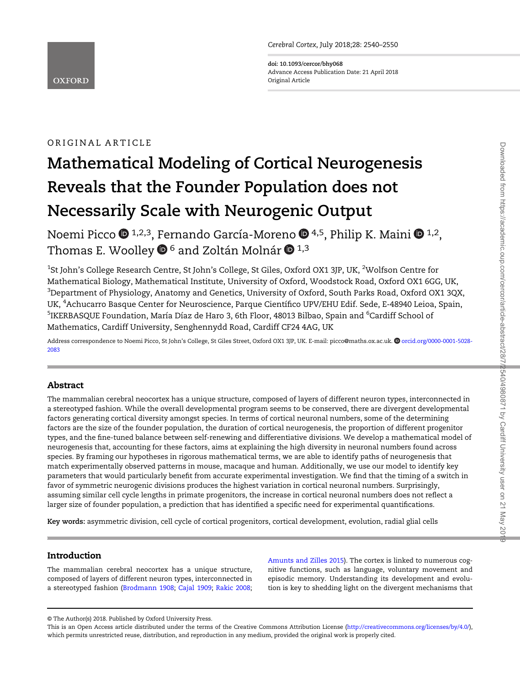#### Cerebral Cortex, July 2018;28: 2540–2550

doi: 10.1093/cercor/bhy068 Advance Access Publication Date: 21 April 2018 Original Article

# ORIGINAL ARTICLE

# Mathematical Modeling of Cortical Neurogenesis Reveals that the Founder Population does not Necessarily Scale with Neurogenic Output

N[o](http://orcid.org/0000-0001-9048-4237)emi Picco  $\mathbf{D}^{1,2,3}$ , Fernando García-Moreno  $\mathbf{D}^{4,5}$ , Philip K. Maini  $\mathbf{D}^{1,2}$ , Thomas E. Woolle[y](http://orcid.org/0000-0001-6225-5365)  $\mathbf{0}^6$  and Zoltán Molnár  $\mathbf{0}^{1,3}$ 

 $^{\rm 1}$ St John's College Research Centre, St John's College, St Giles, Oxford OX1 3JP, UK,  $^{\rm 2}$ Wolfson Centre for Mathematical Biology, Mathematical Institute, University of Oxford, Woodstock Road, Oxford OX1 6GG, UK,  $^3$ Department of Physiology, Anatomy and Genetics, University of Oxford, South Parks Road, Oxford OX1 3QX, UK, <sup>4</sup>Achucarro Basque Center for Neuroscience, Parque Científico UPV/EHU Edif. Sede, E-48940 Leioa, Spain, <sup>5</sup>IKERBASQUE Foundation, María Díaz de Haro 3, 6th Floor, 48013 Bilbao, Spain and <sup>6</sup>Cardiff School of Mathematics, Cardiff University, Senghennydd Road, Cardiff CF24 4AG, UK

Address correspondence to Noemi Picco, St John's College, St Giles Street, Oxford OX1 3JP, UK[.](http://orcid.org/0000-0001-5028-2083) E-mail: picco@maths.ox.ac.uk. @ [orcid.org/0000-0001-5028-](http://orcid.org/0000-0001-5028-2083) [2083](http://orcid.org/0000-0001-5028-2083)

# Abstract

The mammalian cerebral neocortex has a unique structure, composed of layers of different neuron types, interconnected in a stereotyped fashion. While the overall developmental program seems to be conserved, there are divergent developmental factors generating cortical diversity amongst species. In terms of cortical neuronal numbers, some of the determining factors are the size of the founder population, the duration of cortical neurogenesis, the proportion of different progenitor types, and the fine-tuned balance between self-renewing and differentiative divisions. We develop a mathematical model of neurogenesis that, accounting for these factors, aims at explaining the high diversity in neuronal numbers found across species. By framing our hypotheses in rigorous mathematical terms, we are able to identify paths of neurogenesis that match experimentally observed patterns in mouse, macaque and human. Additionally, we use our model to identify key parameters that would particularly benefit from accurate experimental investigation. We find that the timing of a switch in favor of symmetric neurogenic divisions produces the highest variation in cortical neuronal numbers. Surprisingly, assuming similar cell cycle lengths in primate progenitors, the increase in cortical neuronal numbers does not reflect a larger size of founder population, a prediction that has identified a specific need for experimental quantifications.

Key words: asymmetric division, cell cycle of cortical progenitors, cortical development, evolution, radial glial cells

# Introduction

The mammalian cerebral neocortex has a unique structure, composed of layers of different neuron types, interconnected in a stereotyped fashion [\(Brodmann 1908;](#page-9-0) [Cajal 1909;](#page-9-0) [Rakic 2008;](#page-10-0) [Amunts and Zilles 2015\)](#page-8-0). The cortex is linked to numerous cognitive functions, such as language, voluntary movement and episodic memory. Understanding its development and evolution is key to shedding light on the divergent mechanisms that



<sup>©</sup> The Author(s) 2018. Published by Oxford University Press.

This is an Open Access article distributed under the terms of the Creative Commons Attribution License [\(http://creativecommons.org/licenses/by/4.0/](http://creativecommons.org/licenses/by/4.0/)), which permits unrestricted reuse, distribution, and reproduction in any medium, provided the original work is properly cited.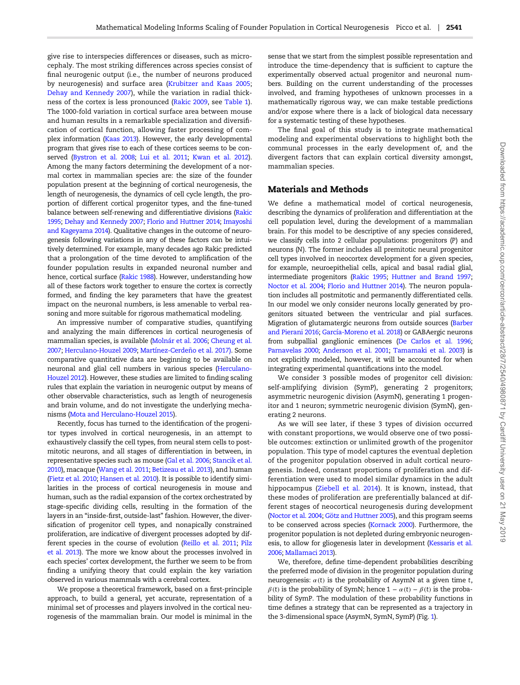give rise to interspecies differences or diseases, such as microcephaly. The most striking differences across species consist of final neurogenic output (i.e., the number of neurons produced by neurogenesis) and surface area [\(Krubitzer and Kaas 2005;](#page-9-0) [Dehay and Kennedy 2007\)](#page-9-0), while the variation in radial thickness of the cortex is less pronounced [\(Rakic 2009](#page-10-0), see [Table 1\)](#page-2-0). The 1000-fold variation in cortical surface area between mouse and human results in a remarkable specialization and diversification of cortical function, allowing faster processing of complex information [\(Kaas 2013\)](#page-9-0). However, the early developmental program that gives rise to each of these cortices seems to be conserved ([Bystron et al. 2008;](#page-9-0) [Lui et al. 2011](#page-9-0); [Kwan et al. 2012\)](#page-9-0). Among the many factors determining the development of a normal cortex in mammalian species are: the size of the founder population present at the beginning of cortical neurogenesis, the length of neurogenesis, the dynamics of cell cycle length, the proportion of different cortical progenitor types, and the fine-tuned balance between self-renewing and differentiative divisions [\(Rakic](#page-10-0) [1995;](#page-10-0) [Dehay and Kennedy 2007;](#page-9-0) [Florio and Huttner 2014](#page-9-0); [Imayoshi](#page-9-0) [and Kageyama 2014\)](#page-9-0). Qualitative changes in the outcome of neurogenesis following variations in any of these factors can be intuitively determined. For example, many decades ago Rakic predicted that a prolongation of the time devoted to amplification of the founder population results in expanded neuronal number and hence, cortical surface [\(Rakic 1988\)](#page-10-0). However, understanding how all of these factors work together to ensure the cortex is correctly formed, and finding the key parameters that have the greatest impact on the neuronal numbers, is less amenable to verbal reasoning and more suitable for rigorous mathematical modeling.

An impressive number of comparative studies, quantifying and analyzing the main differences in cortical neurogenesis of mammalian species, is available ([Molnár et al. 2006;](#page-10-0) [Cheung et al.](#page-9-0) [2007;](#page-9-0) [Herculano-Houzel 2009](#page-9-0); [Martínez-Cerdeño et al. 2017\).](#page-10-0) Some comparative quantitative data are beginning to be available on neuronal and glial cell numbers in various species [\(Herculano-](#page-9-0)[Houzel 2012\)](#page-9-0). However, these studies are limited to finding scaling rules that explain the variation in neurogenic output by means of other observable characteristics, such as length of neurogenesis and brain volume, and do not investigate the underlying mechanisms [\(Mota and Herculano-Houzel 2015\)](#page-10-0).

Recently, focus has turned to the identification of the progenitor types involved in cortical neurogenesis, in an attempt to exhaustively classify the cell types, from neural stem cells to postmitotic neurons, and all stages of differentiation in between, in representative species such as mouse [\(Gal et al. 2006](#page-9-0); [Stancik et al.](#page-10-0) [2010\)](#page-10-0), macaque ([Wang et al. 2011](#page-10-0); [Betizeau et al. 2013\)](#page-9-0), and human [\(Fietz et al. 2010](#page-9-0); [Hansen et al. 2010\)](#page-9-0). It is possible to identify similarities in the process of cortical neurogenesis in mouse and human, such as the radial expansion of the cortex orchestrated by stage-specific dividing cells, resulting in the formation of the layers in an "inside-first, outside-last" fashion. However, the diversification of progenitor cell types, and nonapically constrained proliferation, are indicative of divergent processes adopted by different species in the course of evolution [\(Reillo et al. 2011](#page-10-0); [Pilz](#page-10-0) [et al. 2013\)](#page-10-0). The more we know about the processes involved in each species' cortex development, the further we seem to be from finding a unifying theory that could explain the key variation observed in various mammals with a cerebral cortex.

We propose a theoretical framework, based on a first-principle approach, to build a general, yet accurate, representation of a minimal set of processes and players involved in the cortical neurogenesis of the mammalian brain. Our model is minimal in the sense that we start from the simplest possible representation and introduce the time-dependency that is sufficient to capture the experimentally observed actual progenitor and neuronal numbers. Building on the current understanding of the processes involved, and framing hypotheses of unknown processes in a mathematically rigorous way, we can make testable predictions and/or expose where there is a lack of biological data necessary for a systematic testing of these hypotheses.

The final goal of this study is to integrate mathematical modeling and experimental observations to highlight both the communal processes in the early development of, and the divergent factors that can explain cortical diversity amongst, mammalian species.

# Materials and Methods

We define a mathematical model of cortical neurogenesis, describing the dynamics of proliferation and differentiation at the cell population level, during the development of a mammalian brain. For this model to be descriptive of any species considered, we classify cells into 2 cellular populations: progenitors (*P*) and neurons (*N*). The former includes all premitotic neural progenitor cell types involved in neocortex development for a given species, for example, neuroepithelial cells, apical and basal radial glial, intermediate progenitors ([Rakic 1995;](#page-10-0) [Huttner and Brand 1997;](#page-9-0) [Noctor et al. 2004;](#page-10-0) [Florio and Huttner 2014](#page-9-0)). The neuron population includes all postmitotic and permanently differentiated cells. In our model we only consider neurons locally generated by progenitors situated between the ventricular and pial surfaces. Migration of glutamatergic neurons from outside sources [\(Barber](#page-9-0) [and Pierani 2016](#page-9-0); [García-Moreno et al. 2018\)](#page-9-0) or GABAergic neurons from subpallial ganglionic eminences [\(De Carlos et al. 1996;](#page-9-0) [Parnavelas 2000;](#page-10-0) [Anderson et al. 2001](#page-8-0); [Tamamaki et al. 2003\)](#page-10-0) is not explicitly modeled, however, it will be accounted for when integrating experimental quantifications into the model.

We consider 3 possible modes of progenitor cell division: self-amplifying division (SymP), generating 2 progenitors; asymmetric neurogenic division (AsymN), generating 1 progenitor and 1 neuron; symmetric neurogenic division (SymN), generating 2 neurons.

As we will see later, if these 3 types of division occurred with constant proportions, we would observe one of two possible outcomes: extinction or unlimited growth of the progenitor population. This type of model captures the eventual depletion of the progenitor population observed in adult cortical neurogenesis. Indeed, constant proportions of proliferation and differentiation were used to model similar dynamics in the adult hippocampus ([Ziebell et al. 2014](#page-10-0)). It is known, instead, that these modes of proliferation are preferentially balanced at different stages of neocortical neurogenesis during development [\(Noctor et al. 2004;](#page-10-0) [Götz and Huttner 2005\)](#page-9-0), and this program seems to be conserved across species [\(Kornack 2000](#page-9-0)). Furthermore, the progenitor population is not depleted during embryonic neurogenesis, to allow for gliogenesis later in development [\(Kessaris et al.](#page-9-0) [2006;](#page-9-0) [Mallamaci 2013](#page-9-0)).

We, therefore, define time-dependent probabilities describing the preferred mode of division in the progenitor population during neurogenesis:  $\alpha(t)$  is the probability of AsymN at a given time  $t$ ,  $\beta$  (*t*) is the probability of SymN; hence 1 –  $\alpha$  (*t*) –  $\beta$  (*t*) is the probability of SymP. The modulation of these probability functions in time defines a strategy that can be represented as a trajectory in the 3-dimensional space (AsymN, SymN, SymP) (Fig. [1](#page-3-0)).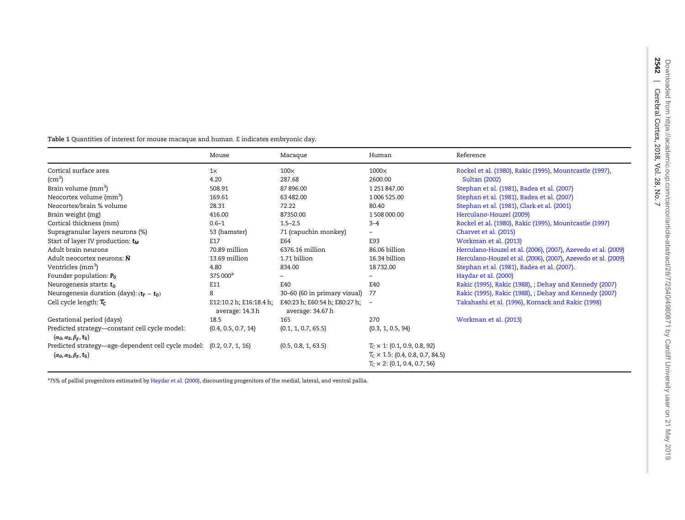|                                                                                                                                | Mouse                                      | Macaque                                           | Human                                                                                                                    | Reference                                                     |
|--------------------------------------------------------------------------------------------------------------------------------|--------------------------------------------|---------------------------------------------------|--------------------------------------------------------------------------------------------------------------------------|---------------------------------------------------------------|
| Cortical surface area                                                                                                          | $1\times$                                  | $100\times$                                       | $1000\times$                                                                                                             | Rockel et al. (1980), Rakic (1995), Mountcastle (1997),       |
| $\rm (cm^2)$                                                                                                                   | 4.20                                       | 287.68                                            | 2600.00                                                                                                                  | Sultan (2002)                                                 |
| Brain volume (mm <sup>3</sup> )                                                                                                | 508.91                                     | 87 896.00                                         | 1251847.00                                                                                                               | Stephan et al. (1981), Badea et al. (2007)                    |
| Neocortex volume $\text{ (mm}^3\text{)}$                                                                                       | 169.61                                     | 63 482.00                                         | 1006 525.00                                                                                                              | Stephan et al. (1981), Badea et al. (2007)                    |
| Neocortex/brain % volume                                                                                                       | 28.31                                      | 72.22                                             | 80.40                                                                                                                    | Stephan et al. (1981), Clark et al. (2001)                    |
| Brain weight (mg)                                                                                                              | 416.00                                     | 87350.00                                          | 1508000.00                                                                                                               | Herculano-Houzel (2009)                                       |
| Cortical thickness (mm)                                                                                                        | $0.6 - 1$                                  | $1.5 - 2.5$                                       | $3 - 4$                                                                                                                  | Rockel et al. (1980), Rakic (1995), Mountcastle (1997)        |
| Supragranular layers neurons (%)                                                                                               | 53 (hamster)                               | 71 (capuchin monkey)                              | $\overline{\phantom{0}}$                                                                                                 | Charvet et al. (2015)                                         |
| Start of layer IV production: $t_M$                                                                                            | E17                                        | E64                                               | E93                                                                                                                      | Workman et al. (2013)                                         |
| Adult brain neurons                                                                                                            | 70.89 million                              | 6376.16 million                                   | 86.06 billion                                                                                                            | Herculano-Houzel et al. (2006), (2007), Azevedo et al. (2009) |
| Adult neocortex neurons: $\bar{N}$                                                                                             | 13.69 million                              | 1.71 billion                                      | 16.34 billion                                                                                                            | Herculano-Houzel et al. (2006), (2007), Azevedo et al. (2009) |
| Ventricles (mm <sup>3</sup> )                                                                                                  | 4.80                                       | 834.00                                            | 18732.00                                                                                                                 | Stephan et al. (1981), Badea et al. (2007).                   |
| Founder population: $P_0$                                                                                                      | 375 000 <sup>a</sup>                       |                                                   |                                                                                                                          | Haydar et al. (2000)                                          |
| Neurogenesis starts: $t_0$                                                                                                     | E11                                        | E40                                               | E40                                                                                                                      | Rakic (1995), Rakic (1988), ; Dehay and Kennedy (2007)        |
| Neurogenesis duration (days): $(t_F - t_0)$                                                                                    | 8                                          | 30-60 (60 in primary visual)                      | -77                                                                                                                      | Rakic (1995), Rakic (1988), ; Dehay and Kennedy (2007)        |
| Cell cycle length: $T_C$                                                                                                       | E12:10.2 h; E16:18.4 h;<br>average: 14.3 h | E40:23 h; E60:54 h; E80:27 h;<br>average: 34.67 h | $\overline{\phantom{a}}$                                                                                                 | Takahashi et al. (1996), Kornack and Rakic (1998)             |
| Gestational period (days)                                                                                                      | 18.5                                       | 165                                               | 270                                                                                                                      | Workman et al. (2013)                                         |
| Predicted strategy-constant cell cycle model:<br>$(\alpha_0, \alpha_{\rm S}, \beta_{\rm F}, {\rm t}_{\rm S})$                  | (0.4, 0.5, 0.7, 14)                        | (0.1, 1, 0.7, 65.5)                               | (0.3, 1, 0.5, 94)                                                                                                        |                                                               |
| Predicted strategy—age-dependent cell cycle model: (0.2, 0.7, 1, 16)<br>$(\alpha_0, \alpha_{\rm S}, \beta_{\rm F}, t_{\rm S})$ |                                            | (0.5, 0.8, 1, 63.5)                               | $T_C \times 1$ : (0.1, 0.9, 0.8, 92)<br>$T_C \times 1.5$ : (0.4, 0.8, 0.7, 84.5)<br>$T_C \times 2$ : (0.1, 0.4, 0.7, 56) |                                                               |

<span id="page-2-0"></span>Table 1 Quantities of interest for mouse macaque and human. <sup>E</sup> indicates embryonic day.

a75% of pallial progenitors estimated by [Haydar](#page-9-0) et al. (2000), discounting progenitors of the medial, lateral, and ventral pallia.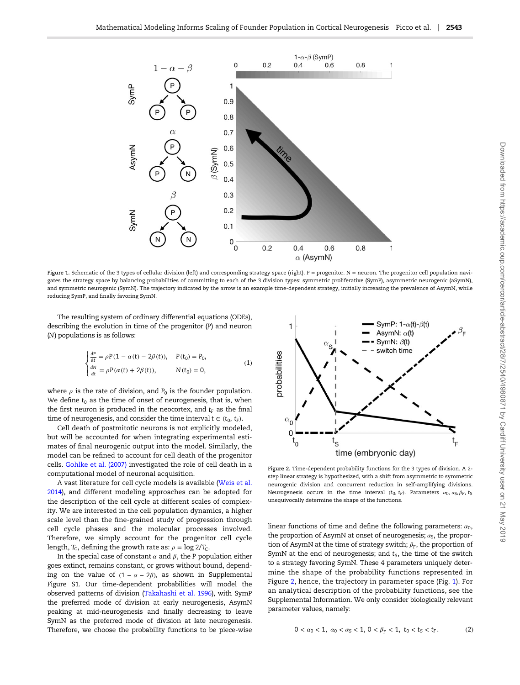<span id="page-3-0"></span>

Figure 1. Schematic of the 3 types of cellular division (left) and corresponding strategy space (right). P = progenitor. N = neuron. The progenitor cell population navigates the strategy space by balancing probabilities of committing to each of the 3 division types: symmetric proliferative (SymP), asymmetric neurogenic (aSymN), and symmetric neurogenic (SymN). The trajectory indicated by the arrow is an example time-dependent strategy, initially increasing the prevalence of AsymN, while reducing SymP, and finally favoring SymN.

The resulting system of ordinary differential equations (ODEs), describing the evolution in time of the progenitor (*P*) and neuron (*N*) populations is as follows:

$$
\begin{cases} \frac{dP}{dt} = \rho P(1 - \alpha(t) - 2\beta(t)), & P(t_0) = P_0, \\ \frac{dN}{dt} = \rho P(\alpha(t) + 2\beta(t)), & N(t_0) = 0, \end{cases}
$$
(1)

where  $\rho$  is the rate of division, and  $P_0$  is the founder population. We define  $t_0$  as the time of onset of neurogenesis, that is, when the first neuron is produced in the neocortex, and  $t_F$  as the final time of neurogenesis, and consider the time interval  $t \in (t_0, t_F)$ .

Cell death of postmitotic neurons is not explicitly modeled, but will be accounted for when integrating experimental estimates of final neurogenic output into the model. Similarly, the model can be refined to account for cell death of the progenitor cells. [Gohlke et al. \(2007\)](#page-9-0) investigated the role of cell death in a computational model of neuronal acquisition.

A vast literature for cell cycle models is available ([Weis et al.](#page-10-0) [2014\)](#page-10-0), and different modeling approaches can be adopted for the description of the cell cycle at different scales of complexity. We are interested in the cell population dynamics, a higher scale level than the fine-grained study of progression through cell cycle phases and the molecular processes involved. Therefore, we simply account for the progenitor cell cycle length, *T<sub>C</sub>*, defining the growth rate as:  $\rho = \log 2/T_C$ .

In the special case of constant  $\alpha$  and  $\beta$ , the *P* population either goes extinct, remains constant, or grows without bound, depending on the value of  $(1 - \alpha - 2\beta)$ , as shown in Supplemental Figure S1. Our time-dependent probabilities will model the observed patterns of division ([Takahashi et al. 1996\)](#page-10-0), with SymP the preferred mode of division at early neurogenesis, AsymN peaking at mid-neurogenesis and finally decreasing to leave SymN as the preferred mode of division at late neurogenesis. Therefore, we choose the probability functions to be piece-wise



Figure 2. Time-dependent probability functions for the 3 types of division. A 2 step linear strategy is hypothesized, with a shift from asymmetric to symmetric neurogenic division and concurrent reduction in self-amplifying divisions. Neurogenesis occurs in the time interval (t<sub>0</sub>, t<sub>F</sub>). Parameters  $α_0$ ,  $α_S$ ,  $β_F$ , t<sub>S</sub> unequivocally determine the shape of the functions.

linear functions of time and define the following parameters:  $α_0$ , the proportion of AsymN at onset of neurogenesis; *αS*, the proportion of AsymN at the time of strategy switch;  $β_F$ , the proportion of SymN at the end of neurogenesis; and *t*<sub>S</sub>, the time of the switch to a strategy favoring SymN. These 4 parameters uniquely determine the shape of the probability functions represented in Figure 2, hence, the trajectory in parameter space (Fig. 1). For an analytical description of the probability functions, see the Supplemental Information. We only consider biologically relevant parameter values, namely:

$$
0 < \alpha_0 < 1, \ \alpha_0 < \alpha_{\rm S} < 1, \ 0 < \beta_{\rm F} < 1, \ t_0 < t_{\rm S} < t_{\rm F} \,. \tag{2}
$$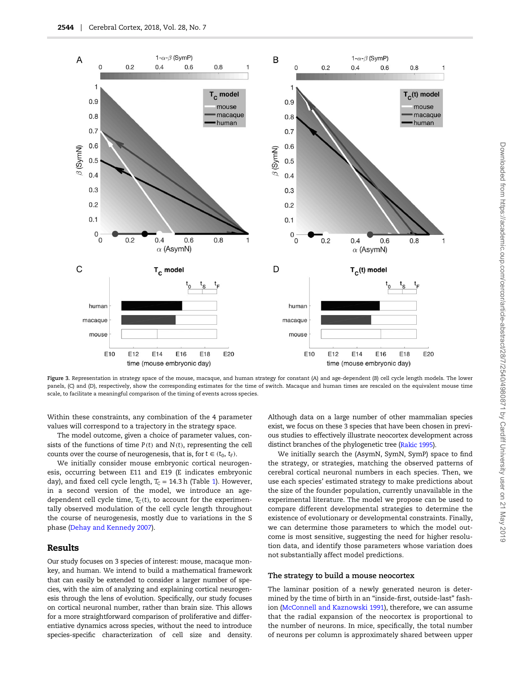<span id="page-4-0"></span>

Figure 3. Representation in strategy space of the mouse, macaque, and human strategy for constant (A) and age-dependent (B) cell cycle length models. The lower panels, (C) and (D), respectively, show the corresponding estimates for the time of switch. Macaque and human times are rescaled on the equivalent mouse time scale, to facilitate a meaningful comparison of the timing of events across species.

Within these constraints, any combination of the 4 parameter values will correspond to a trajectory in the strategy space.

The model outcome, given a choice of parameter values, consists of the functions of time *P*(*t*) and *N t*( ), representing the cell counts over the course of neurogenesis, that is, for  $t \in (t_0, t_F)$ .

We initially consider mouse embryonic cortical neurogenesis, occurring between E11 and E19 (E indicates embryonic day), and fixed cell cycle length,  $T_C = 14.3$  $T_C = 14.3$  $T_C = 14.3$  h (Table 1). However, in a second version of the model, we introduce an agedependent cell cycle time,  $T_C(t)$ , to account for the experimentally observed modulation of the cell cycle length throughout the course of neurogenesis, mostly due to variations in the S phase [\(Dehay and Kennedy 2007](#page-9-0)).

#### Results

Our study focuses on 3 species of interest: mouse, macaque monkey, and human. We intend to build a mathematical framework that can easily be extended to consider a larger number of species, with the aim of analyzing and explaining cortical neurogenesis through the lens of evolution. Specifically, our study focuses on cortical neuronal number, rather than brain size. This allows for a more straightforward comparison of proliferative and differentiative dynamics across species, without the need to introduce species-specific characterization of cell size and density. Although data on a large number of other mammalian species exist, we focus on these 3 species that have been chosen in previous studies to effectively illustrate neocortex development across distinct branches of the phylogenetic tree [\(Rakic 1995](#page-10-0)).

We initially search the (AsymN, SymN, SymP) space to find the strategy, or strategies, matching the observed patterns of cerebral cortical neuronal numbers in each species. Then, we use each species' estimated strategy to make predictions about the size of the founder population, currently unavailable in the experimental literature. The model we propose can be used to compare different developmental strategies to determine the existence of evolutionary or developmental constraints. Finally, we can determine those parameters to which the model outcome is most sensitive, suggesting the need for higher resolution data, and identify those parameters whose variation does not substantially affect model predictions.

#### The strategy to build a mouse neocortex

The laminar position of a newly generated neuron is determined by the time of birth in an "inside-first, outside-last" fashion [\(McConnell and Kaznowski 1991\)](#page-10-0), therefore, we can assume that the radial expansion of the neocortex is proportional to the number of neurons. In mice, specifically, the total number of neurons per column is approximately shared between upper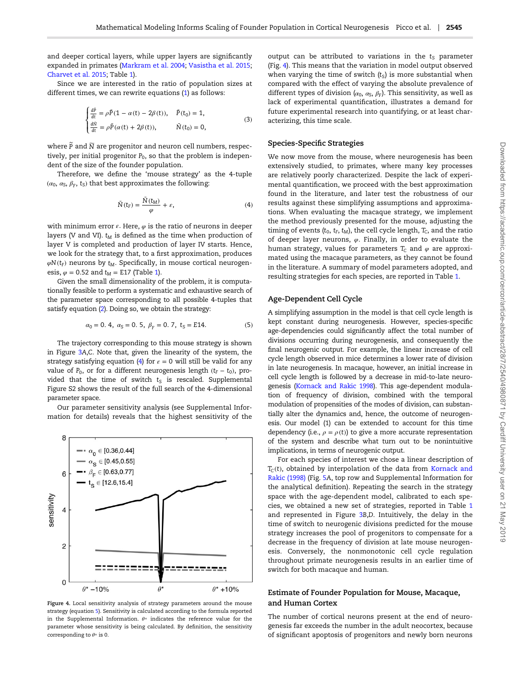<span id="page-5-0"></span>and deeper cortical layers, while upper layers are significantly expanded in primates ([Markram et al. 2004](#page-9-0); [Vasistha et al. 2015;](#page-10-0) [Charvet et al. 2015](#page-9-0); Table [1\)](#page-2-0).

Since we are interested in the ratio of population sizes at different times, we can rewrite equations ([1](#page-3-0)) as follows:

$$
\begin{cases}\n\frac{d\tilde{P}}{dt} = \rho \tilde{P}(1 - \alpha(t) - 2\beta(t)), & \tilde{P}(t_0) = 1, \\
\frac{d\tilde{N}}{dt} = \rho \tilde{P}(\alpha(t) + 2\beta(t)), & \tilde{N}(t_0) = 0,\n\end{cases}
$$
\n(3)

where <sup>∼</sup> *P* and *N*͠are progenitor and neuron cell numbers, respectively, per initial progenitor  $P_0$ , so that the problem is independent of the size of the founder population.

Therefore, we define the 'mouse strategy' as the 4-tuple  $(\alpha_0, \alpha_S, \beta_F, t_S)$  that best approximates the following:

$$
\tilde{N}(t_F) = \frac{\tilde{N}(t_M)}{\varphi} + \varepsilon, \tag{4}
$$

with minimum error *ε*. Here, *φ* is the ratio of neurons in deeper layers (V and VI).  $t_M$  is defined as the time when production of layer V is completed and production of layer IV starts. Hence, we look for the strategy that, to a first approximation, produces  $\varphi$ *N*(*t<sub>F</sub>*) neurons by *t<sub>M</sub>*. Specifically, in mouse cortical neurogenesis,  $\varphi$  = 0.52 and  $t_M$  = E17 (Table [1\)](#page-2-0).

Given the small dimensionality of the problem, it is computationally feasible to perform a systematic and exhaustive search of the parameter space corresponding to all possible 4-tuples that satisfy equation [\(2\)](#page-3-0). Doing so, we obtain the strategy:

$$
\alpha_0 = 0.4, \ \alpha_S = 0.5, \ \beta_F = 0.7, \ t_S = E14. \tag{5}
$$

The trajectory corresponding to this mouse strategy is shown in Figure [3](#page-4-0)A,C. Note that, given the linearity of the system, the strategy satisfying equation (4) for  $\varepsilon = 0$  will still be valid for any value of  $P_0$ , or for a different neurogenesis length ( $t_F - t_0$ ), provided that the time of switch *t<sub>S</sub>* is rescaled. Supplemental Figure S2 shows the result of the full search of the 4-dimensional parameter space.

Our parameter sensitivity analysis (see Supplemental Information for details) reveals that the highest sensitivity of the



Figure 4. Local sensitivity analysis of strategy parameters around the mouse strategy (equation 5). Sensitivity is calculated according to the formula reported in the Supplemental Information.  $θ$ <sup>∗</sup> indicates the reference value for the parameter whose sensitivity is being calculated. By definition, the sensitivity corresponding to *θ*⁎ is 0.

output can be attributed to variations in the *t<sub>S</sub>* parameter (Fig. 4). This means that the variation in model output observed when varying the time of switch (t<sub>S</sub>) is more substantial when compared with the effect of varying the absolute prevalence of different types of division ( $\alpha_0$ ,  $\alpha_S$ ,  $\beta_F$ ). This sensitivity, as well as lack of experimental quantification, illustrates a demand for future experimental research into quantifying, or at least characterizing, this time scale.

#### Species-Specific Strategies

We now move from the mouse, where neurogenesis has been extensively studied, to primates, where many key processes are relatively poorly characterized. Despite the lack of experimental quantification, we proceed with the best approximation found in the literature, and later test the robustness of our results against these simplifying assumptions and approximations. When evaluating the macaque strategy, we implement the method previously presented for the mouse, adjusting the timing of events  $(t_0, t_F, t_M)$ , the cell cycle length,  $T_C$ , and the ratio of deeper layer neurons, *φ*. Finally, in order to evaluate the human strategy, values for parameters *T<sub>C</sub>* and *φ* are approximated using the macaque parameters, as they cannot be found in the literature. A summary of model parameters adopted, and resulting strategies for each species, are reported in Table [1.](#page-2-0)

### Age-Dependent Cell Cycle

A simplifying assumption in the model is that cell cycle length is kept constant during neurogenesis. However, species-specific age-dependencies could significantly affect the total number of divisions occurring during neurogenesis, and consequently the final neurogenic output. For example, the linear increase of cell cycle length observed in mice determines a lower rate of division in late neurogenesis. In macaque, however, an initial increase in cell cycle length is followed by a decrease in mid-to-late neurogenesis [\(Kornack and Rakic 1998](#page-9-0)). This age-dependent modulation of frequency of division, combined with the temporal modulation of propensities of the modes of division, can substantially alter the dynamics and, hence, the outcome of neurogenesis. Our model (1) can be extended to account for this time dependency (i.e.,  $\rho = \rho(t)$ ) to give a more accurate representation of the system and describe what turn out to be nonintuitive implications, in terms of neurogenic output.

For each species of interest we chose a linear description of *T<sub>C</sub>*(t), obtained by interpolation of the data from [Kornack and](#page-9-0) [Rakic \(1998\)](#page-9-0) (Fig. [5](#page-6-0)A, top row and Supplemental Information for the analytical definition). Repeating the search in the strategy space with the age-dependent model, calibrated to each species, we obtained a new set of strategies, reported in Table [1](#page-2-0) and represented in Figure [3](#page-4-0)B,D. Intuitively, the delay in the time of switch to neurogenic divisions predicted for the mouse strategy increases the pool of progenitors to compensate for a decrease in the frequency of division at late mouse neurogenesis. Conversely, the nonmonotonic cell cycle regulation throughout primate neurogenesis results in an earlier time of switch for both macaque and human.

## Estimate of Founder Population for Mouse, Macaque, and Human Cortex

The number of cortical neurons present at the end of neurogenesis far exceeds the number in the adult neocortex, because of significant apoptosis of progenitors and newly born neurons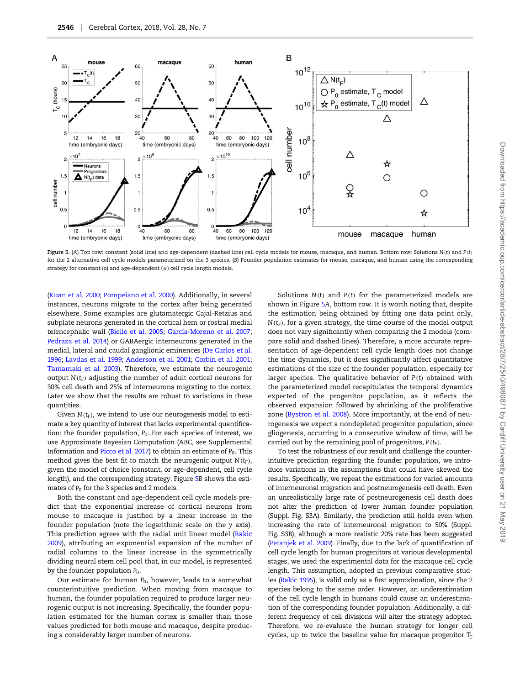<span id="page-6-0"></span>

Figure 5. (A) Top row: constant (solid line) and age-dependent (dashed line) cell cycle models for mouse, macaque, and human. Bottom row: Solutions *N t*( ) and *P t*( ) for the 2 alternative cell cycle models parameterized on the 3 species. (B) Founder population estimates for mouse, macaque, and human using the corresponding strategy for constant (o) and age-dependent (☆) cell cycle length models.

[\(Kuan et al. 2000](#page-9-0); [Pompeiano et al. 2000\)](#page-10-0). Additionally, in several instances, neurons migrate to the cortex after being generated elsewhere. Some examples are glutamatergic Cajal-Retzius and subplate neurons generated in the cortical hem or rostral medial telencephalic wall ([Bielle et al. 2005](#page-9-0); [García-Moreno et al. 2007;](#page-9-0) [Pedraza et al. 2014](#page-10-0)) or GABAergic interneurons generated in the medial, lateral and caudal ganglionic eminences ([De Carlos et al.](#page-9-0) [1996](#page-9-0); [Lavdas et al. 1999](#page-9-0); [Anderson et al. 2001](#page-8-0); [Corbin et al. 2001;](#page-9-0) [Tamamaki et al. 2003](#page-10-0)). Therefore, we estimate the neurogenic output *N*( $t_F$ ) adjusting the number of adult cortical neurons for 30% cell death and 25% of interneurons migrating to the cortex. Later we show that the results are robust to variations in these quantities.

Given  $N(t_F)$ , we intend to use our neurogenesis model to estimate a key quantity of interest that lacks experimental quantification: the founder population, *P*<sub>0</sub>. For each species of interest, we use Approximate Bayesian Computation (ABC, see Supplemental Information and [Picco et al. 2017\)](#page-10-0) to obtain an estimate of *P*<sub>0</sub>. This method gives the best fit to match the neurogenic output  $N(t_F)$ , given the model of choice (constant, or age-dependent, cell cycle length), and the corresponding strategy. Figure 5B shows the estimates of  $P_0$  for the 3 species and 2 models.

Both the constant and age-dependent cell cycle models predict that the exponential increase of cortical neurons from mouse to macaque is justified by a linear increase in the founder population (note the logarithmic scale on the *y* axis). This prediction agrees with the radial unit linear model [\(Rakic](#page-10-0) [2009\)](#page-10-0), attributing an exponential expansion of the number of radial columns to the linear increase in the symmetrically dividing neural stem cell pool that, in our model, is represented by the founder population  $P_0$ .

Our estimate for human *P*<sub>0</sub>, however, leads to a somewhat counterintuitive prediction. When moving from macaque to human, the founder population required to produce larger neurogenic output is not increasing. Specifically, the founder population estimated for the human cortex is smaller than those values predicted for both mouse and macaque, despite producing a considerably larger number of neurons.

Solutions  $N(t)$  and  $P(t)$  for the parameterized models are shown in Figure 5A, bottom row. It is worth noting that, despite the estimation being obtained by fitting one data point only, *N*( $t_F$ ), for a given strategy, the time course of the model output does not vary significantly when comparing the 2 models (compare solid and dashed lines). Therefore, a more accurate representation of age-dependent cell cycle length does not change the time dynamics, but it does significantly affect quantitative estimations of the size of the founder population, especially for larger species. The qualitative behavior of *P*(*t*) obtained with the parameterized model recapitulates the temporal dynamics expected of the progenitor population, as it reflects the observed expansion followed by shrinking of the proliferative zone [\(Bystron et al. 2008](#page-9-0)). More importantly, at the end of neurogenesis we expect a nondepleted progenitor population, since gliogenesis, occurring in a consecutive window of time, will be carried out by the remaining pool of progenitors, *P*(*tF*).

To test the robustness of our result and challenge the counterintuitive prediction regarding the founder population, we introduce variations in the assumptions that could have skewed the results. Specifically, we repeat the estimations for varied amounts of interneuronal migration and postneurogenesis cell death. Even an unrealistically large rate of postneurogenesis cell death does not alter the prediction of lower human founder population (Suppl. Fig. S3A). Similarly, the prediction still holds even when increasing the rate of interneuronal migration to 50% (Suppl. Fig. S3B), although a more realistic 20% rate has been suggested [\(Petanjek et al. 2009\)](#page-10-0). Finally, due to the lack of quantification of cell cycle length for human progenitors at various developmental stages, we used the experimental data for the macaque cell cycle length. This assumption, adopted in previous comparative studies [\(Rakic 1995\)](#page-10-0), is valid only as a first approximation, since the 2 species belong to the same order. However, an underestimation of the cell cycle length in humans could cause an underestimation of the corresponding founder population. Additionally, a different frequency of cell divisions will alter the strategy adopted. Therefore, we re-evaluate the human strategy for longer cell cycles, up to twice the baseline value for macaque progenitor  $T_C$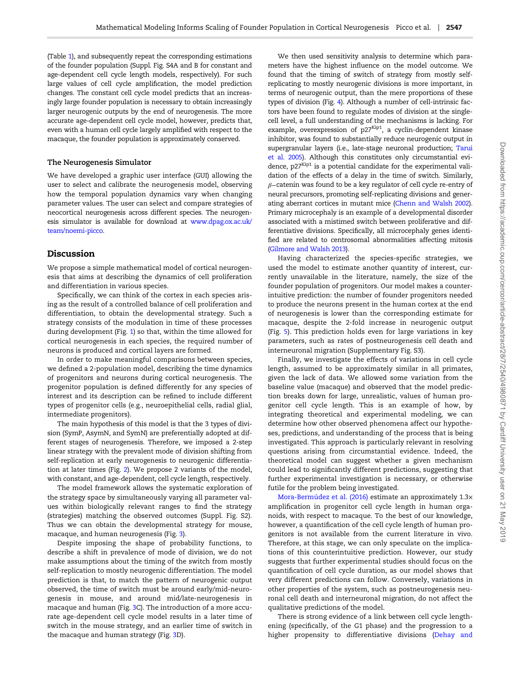(Table [1\)](#page-2-0), and subsequently repeat the corresponding estimations of the founder population (Suppl. Fig. S4A and B for constant and age-dependent cell cycle length models, respectively). For such large values of cell cycle amplification, the model prediction changes. The constant cell cycle model predicts that an increasingly large founder population is necessary to obtain increasingly larger neurogenic outputs by the end of neurogenesis. The more accurate age-dependent cell cycle model, however, predicts that, even with a human cell cycle largely amplified with respect to the macaque, the founder population is approximately conserved.

## The Neurogenesis Simulator

We have developed a graphic user interface (GUI) allowing the user to select and calibrate the neurogenesis model, observing how the temporal population dynamics vary when changing parameter values. The user can select and compare strategies of neocortical neurogenesis across different species. The neurogenesis simulator is available for download at [www.dpag.ox.ac.uk/](http://www.dpag.ox.ac.uk/team/noemi-picco) [team/noemi-picco](http://www.dpag.ox.ac.uk/team/noemi-picco).

#### Discussion

We propose a simple mathematical model of cortical neurogenesis that aims at describing the dynamics of cell proliferation and differentiation in various species.

Specifically, we can think of the cortex in each species arising as the result of a controlled balance of cell proliferation and differentiation, to obtain the developmental strategy. Such a strategy consists of the modulation in time of these processes during development (Fig. [1](#page-3-0)) so that, within the time allowed for cortical neurogenesis in each species, the required number of neurons is produced and cortical layers are formed.

In order to make meaningful comparisons between species, we defined a 2-population model, describing the time dynamics of progenitors and neurons during cortical neurogenesis. The progenitor population is defined differently for any species of interest and its description can be refined to include different types of progenitor cells (e.g., neuroepithelial cells, radial glial, intermediate progenitors).

The main hypothesis of this model is that the 3 types of division (SymP, AsymN, and SymN) are preferentially adopted at different stages of neurogenesis. Therefore, we imposed a 2-step linear strategy with the prevalent mode of division shifting from self-replication at early neurogenesis to neurogenic differentiation at later times (Fig. [2](#page-3-0)). We propose 2 variants of the model, with constant, and age-dependent, cell cycle length, respectively.

The model framework allows the systematic exploration of the strategy space by simultaneously varying all parameter values within biologically relevant ranges to find the strategy (strategies) matching the observed outcomes (Suppl. Fig. S2). Thus we can obtain the developmental strategy for mouse, macaque, and human neurogenesis (Fig. [3\)](#page-4-0).

Despite imposing the shape of probability functions, to describe a shift in prevalence of mode of division, we do not make assumptions about the timing of the switch from mostly self-replication to mostly neurogenic differentiation. The model prediction is that, to match the pattern of neurogenic output observed, the time of switch must be around early/mid-neurogenesis in mouse, and around mid/late-neurogenesis in macaque and human (Fig. [3C](#page-4-0)). The introduction of a more accurate age-dependent cell cycle model results in a later time of switch in the mouse strategy, and an earlier time of switch in the macaque and human strategy (Fig. [3D](#page-4-0)).

We then used sensitivity analysis to determine which parameters have the highest influence on the model outcome. We found that the timing of switch of strategy from mostly selfreplicating to mostly neurogenic divisions is more important, in terms of neurogenic output, than the mere proportions of these types of division (Fig. [4](#page-5-0)). Although a number of cell-intrinsic factors have been found to regulate modes of division at the singlecell level, a full understanding of the mechanisms is lacking. For example, overexpression of  $p27^{Kip1}$ , a cyclin-dependent kinase inhibitor, was found to substantially reduce neurogenic output in supergranular layers (i.e., late-stage neuronal production; [Tarui](#page-10-0) [et al. 2005](#page-10-0)). Although this constitutes only circumstantial evidence,  $p27^{Kip1}$  is a potential candidate for the experimental validation of the effects of a delay in the time of switch. Similarly, *β*−catenin was found to be a key regulator of cell cycle re-entry of neural precursors, promoting self-replicating divisions and generating aberrant cortices in mutant mice [\(Chenn and Walsh 2002\)](#page-9-0). Primary microcephaly is an example of a developmental disorder associated with a mistimed switch between proliferative and differentiative divisions. Specifically, all microcephaly genes identified are related to centrosomal abnormalities affecting mitosis [\(Gilmore and Walsh 2013\)](#page-9-0).

Having characterized the species-specific strategies, we used the model to estimate another quantity of interest, currently unavailable in the literature, namely, the size of the founder population of progenitors. Our model makes a counterintuitive prediction: the number of founder progenitors needed to produce the neurons present in the human cortex at the end of neurogenesis is lower than the corresponding estimate for macaque, despite the 2-fold increase in neurogenic output (Fig. [5\)](#page-6-0). This prediction holds even for large variations in key parameters, such as rates of postneurogenesis cell death and interneuronal migration (Supplementary Fig. S3).

Finally, we investigate the effects of variations in cell cycle length, assumed to be approximately similar in all primates, given the lack of data. We allowed some variation from the baseline value (macaque) and observed that the model prediction breaks down for large, unrealistic, values of human progenitor cell cycle length. This is an example of how, by integrating theoretical and experimental modeling, we can determine how other observed phenomena affect our hypotheses, predictions, and understanding of the process that is being investigated. This approach is particularly relevant in resolving questions arising from circumstantial evidence. Indeed, the theoretical model can suggest whether a given mechanism could lead to significantly different predictions, suggesting that further experimental investigation is necessary, or otherwise futile for the problem being investigated.

[Mora-Bermúdez et al. \(2016\)](#page-10-0) estimate an approximately 1.3× amplification in progenitor cell cycle length in human organoids, with respect to macaque. To the best of our knowledge, however, a quantification of the cell cycle length of human progenitors is not available from the current literature in vivo. Therefore, at this stage, we can only speculate on the implications of this counterintuitive prediction. However, our study suggests that further experimental studies should focus on the quantification of cell cycle duration, as our model shows that very different predictions can follow. Conversely, variations in other properties of the system, such as postneurogenesis neuronal cell death and interneuronal migration, do not affect the qualitative predictions of the model.

There is strong evidence of a link between cell cycle lengthening (specifically, of the G1 phase) and the progression to a higher propensity to differentiative divisions [\(Dehay and](#page-9-0)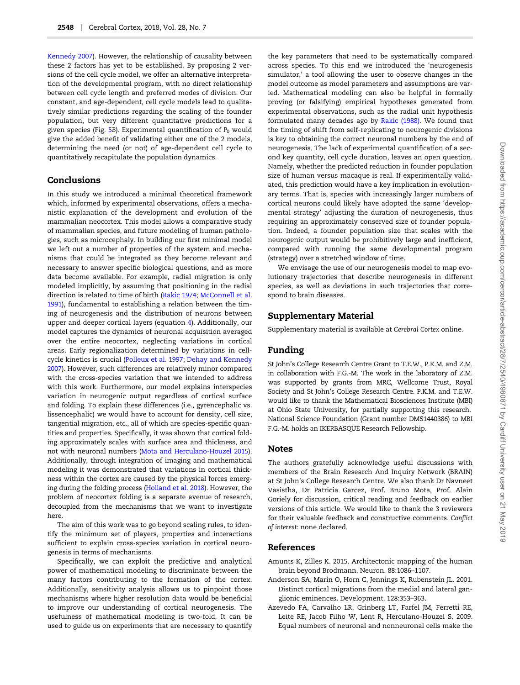<span id="page-8-0"></span>[Kennedy 2007\)](#page-9-0). However, the relationship of causality between these 2 factors has yet to be established. By proposing 2 versions of the cell cycle model, we offer an alternative interpretation of the developmental program, with no direct relationship between cell cycle length and preferred modes of division. Our constant, and age-dependent, cell cycle models lead to qualitatively similar predictions regarding the scaling of the founder population, but very different quantitative predictions for a given species (Fig. [5](#page-6-0)B). Experimental quantification of *P*<sup>0</sup> would give the added benefit of validating either one of the 2 models, determining the need (or not) of age-dependent cell cycle to quantitatively recapitulate the population dynamics.

# Conclusions

In this study we introduced a minimal theoretical framework which, informed by experimental observations, offers a mechanistic explanation of the development and evolution of the mammalian neocortex. This model allows a comparative study of mammalian species, and future modeling of human pathologies, such as microcephaly. In building our first minimal model we left out a number of properties of the system and mechanisms that could be integrated as they become relevant and necessary to answer specific biological questions, and as more data become available. For example, radial migration is only modeled implicitly, by assuming that positioning in the radial direction is related to time of birth ([Rakic 1974](#page-10-0); [McConnell et al.](#page-10-0) [1991\)](#page-10-0), fundamental to establishing a relation between the timing of neurogenesis and the distribution of neurons between upper and deeper cortical layers (equation [4\)](#page-5-0). Additionally, our model captures the dynamics of neuronal acquisition averaged over the entire neocortex, neglecting variations in cortical areas. Early regionalization determined by variations in cellcycle kinetics is crucial [\(Polleux et al. 1997](#page-10-0); [Dehay and Kennedy](#page-9-0) [2007\)](#page-9-0). However, such differences are relatively minor compared with the cross-species variation that we intended to address with this work. Furthermore, our model explains interspecies variation in neurogenic output regardless of cortical surface and folding. To explain these differences (i.e., gyrencephalic vs. lissencephalic) we would have to account for density, cell size, tangential migration, etc., all of which are species-specific quantities and properties. Specifically, it was shown that cortical folding approximately scales with surface area and thickness, and not with neuronal numbers [\(Mota and Herculano-Houzel 2015\)](#page-10-0). Additionally, through integration of imaging and mathematical modeling it was demonstrated that variations in cortical thickness within the cortex are caused by the physical forces emerging during the folding process ([Holland et al. 2018\)](#page-9-0). However, the problem of neocortex folding is a separate avenue of research, decoupled from the mechanisms that we want to investigate here.

The aim of this work was to go beyond scaling rules, to identify the minimum set of players, properties and interactions sufficient to explain cross-species variation in cortical neurogenesis in terms of mechanisms.

Specifically, we can exploit the predictive and analytical power of mathematical modeling to discriminate between the many factors contributing to the formation of the cortex. Additionally, sensitivity analysis allows us to pinpoint those mechanisms where higher resolution data would be beneficial to improve our understanding of cortical neurogenesis. The usefulness of mathematical modeling is two-fold. It can be used to guide us on experiments that are necessary to quantify

the key parameters that need to be systematically compared across species. To this end we introduced the 'neurogenesis simulator,' a tool allowing the user to observe changes in the model outcome as model parameters and assumptions are varied. Mathematical modeling can also be helpful in formally proving (or falsifying) empirical hypotheses generated from experimental observations, such as the radial unit hypothesis formulated many decades ago by [Rakic \(1988\)](#page-10-0). We found that the timing of shift from self-replicating to neurogenic divisions is key to obtaining the correct neuronal numbers by the end of neurogenesis. The lack of experimental quantification of a second key quantity, cell cycle duration, leaves an open question. Namely, whether the predicted reduction in founder population size of human versus macaque is real. If experimentally validated, this prediction would have a key implication in evolutionary terms. That is, species with increasingly larger numbers of cortical neurons could likely have adopted the same 'developmental strategy' adjusting the duration of neurogenesis, thus requiring an approximately conserved size of founder population. Indeed, a founder population size that scales with the neurogenic output would be prohibitively large and inefficient, compared with running the same developmental program (strategy) over a stretched window of time.

We envisage the use of our neurogenesis model to map evolutionary trajectories that describe neurogenesis in different species, as well as deviations in such trajectories that correspond to brain diseases.

# Supplementary Material

Supplementary material is available at Cerebral Cortex online.

# Funding

St John's College Research Centre Grant to T.E.W., P.K.M. and Z.M. in collaboration with F.G.-M. The work in the laboratory of Z.M. was supported by grants from MRC, Wellcome Trust, Royal Society and St John's College Research Centre. P.K.M. and T.E.W. would like to thank the Mathematical Biosciences Institute (MBI) at Ohio State University, for partially supporting this research. National Science Foundation (Grant number DMS1440386) to MBI F.G.-M. holds an IKERBASQUE Research Fellowship.

#### Notes

The authors gratefully acknowledge useful discussions with members of the Brain Research And Inquiry Network (BRAIN) at St John's College Research Centre. We also thank Dr Navneet Vasistha, Dr Patricia Garcez, Prof. Bruno Mota, Prof. Alain Goriely for discussion, critical reading and feedback on earlier versions of this article. We would like to thank the 3 reviewers for their valuable feedback and constructive comments. Conflict of interest: none declared.

#### References

- Amunts K, Zilles K. 2015. Architectonic mapping of the human brain beyond Brodmann. Neuron. 88:1086–1107.
- Anderson SA, Marín O, Horn C, Jennings K, Rubenstein JL. 2001. Distinct cortical migrations from the medial and lateral ganglionic eminences. Development. 128:353–363.
- Azevedo FA, Carvalho LR, Grinberg LT, Farfel JM, Ferretti RE, Leite RE, Jacob Filho W, Lent R, Herculano-Houzel S. 2009. Equal numbers of neuronal and nonneuronal cells make the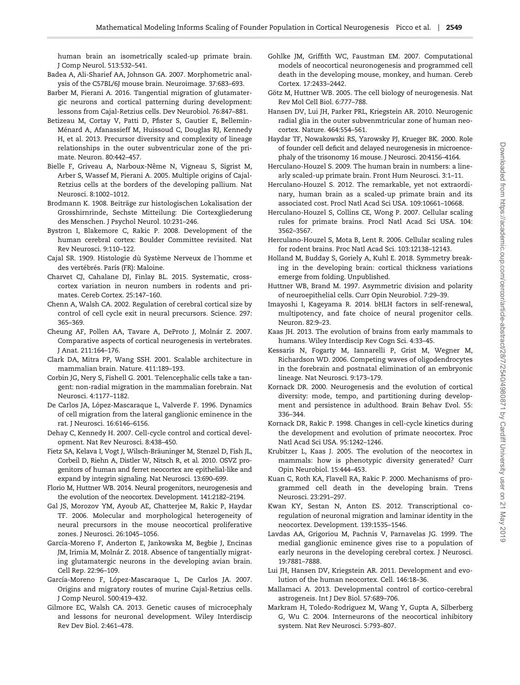<span id="page-9-0"></span>human brain an isometrically scaled-up primate brain. J Comp Neurol. 513:532–541.

- Badea A, Ali-Sharief AA, Johnson GA. 2007. Morphometric analysis of the C57BL/6J mouse brain. Neuroimage. 37:683–693.
- Barber M, Pierani A. 2016. Tangential migration of glutamatergic neurons and cortical patterning during development: lessons from Cajal-Retzius cells. Dev Neurobiol. 76:847–881.
- Betizeau M, Cortay V, Patti D, Pfister S, Gautier E, Bellemin-Ménard A, Afanassieff M, Huissoud C, Douglas RJ, Kennedy H, et al. 2013. Precursor diversity and complexity of lineage relationships in the outer subventricular zone of the primate. Neuron. 80:442–457.
- Bielle F, Griveau A, Narboux-Nême N, Vigneau S, Sigrist M, Arber S, Wassef M, Pierani A. 2005. Multiple origins of Cajal-Retzius cells at the borders of the developing pallium. Nat Neurosci. 8:1002–1012.
- Brodmann K. 1908. Beiträge zur histologischen Lokalisation der Grosshirnrinde, Sechste Mitteilung: Die Cortexgliederung des Menschen. J Psychol Neurol. 10:231–246.
- Bystron I, Blakemore C, Rakic P. 2008. Development of the human cerebral cortex: Boulder Committee revisited. Nat Rev Neurosci. 9:110–122.
- Cajal SR. 1909. Histologie dù Système Nerveux de l´homme et des vertébrés. París (FR): Maloine.
- Charvet CJ, Cahalane DJ, Finlay BL. 2015. Systematic, crosscortex variation in neuron numbers in rodents and primates. Cereb Cortex. 25:147–160.
- Chenn A, Walsh CA. 2002. Regulation of cerebral cortical size by control of cell cycle exit in neural precursors. Science. 297: 365–369.
- Cheung AF, Pollen AA, Tavare A, DeProto J, Molnár Z. 2007. Comparative aspects of cortical neurogenesis in vertebrates. J Anat. 211:164–176.
- Clark DA, Mitra PP, Wang SSH. 2001. Scalable architecture in mammalian brain. Nature. 411:189–193.
- Corbin JG, Nery S, Fishell G. 2001. Telencephalic cells take a tangent: non-radial migration in the mammalian forebrain. Nat Neurosci. 4:1177–1182.
- De Carlos JA, López-Mascaraque L, Valverde F. 1996. Dynamics of cell migration from the lateral ganglionic eminence in the rat. J Neurosci. 16:6146–6156.
- Dehay C, Kennedy H. 2007. Cell-cycle control and cortical development. Nat Rev Neurosci. 8:438–450.
- Fietz SA, Kelava I, Vogt J, Wilsch-Bräuninger M, Stenzel D, Fish JL, Corbeil D, Riehn A, Distler W, Nitsch R, et al. 2010. OSVZ progenitors of human and ferret neocortex are epithelial-like and expand by integrin signaling. Nat Neurosci. 13:690–699.
- Florio M, Huttner WB. 2014. Neural progenitors, neurogenesis and the evolution of the neocortex. Development. 141:2182–2194.
- Gal JS, Morozov YM, Ayoub AE, Chatterjee M, Rakic P, Haydar TF. 2006. Molecular and morphological heterogeneity of neural precursors in the mouse neocortical proliferative zones. J Neurosci. 26:1045–1056.
- García-Moreno F, Anderton E, Jankowska M, Begbie J, Encinas JM, Irimia M, Molnár Z. 2018. Absence of tangentially migrating glutamatergic neurons in the developing avian brain. Cell Rep. 22:96–109.
- García-Moreno F, López-Mascaraque L, De Carlos JA. 2007. Origins and migratory routes of murine Cajal-Retzius cells. J Comp Neurol. 500:419–432.
- Gilmore EC, Walsh CA. 2013. Genetic causes of microcephaly and lessons for neuronal development. Wiley Interdiscip Rev Dev Biol. 2:461–478.
- Gohlke JM, Griffith WC, Faustman EM. 2007. Computational models of neocortical neuronogenesis and programmed cell death in the developing mouse, monkey, and human. Cereb Cortex. 17:2433–2442.
- Götz M, Huttner WB. 2005. The cell biology of neurogenesis. Nat Rev Mol Cell Biol. 6:777–788.
- Hansen DV, Lui JH, Parker PRL, Kriegstein AR. 2010. Neurogenic radial glia in the outer subvenmtricular zone of human neocortex. Nature. 464:554–561.
- Haydar TF, Nowakowski RS, Yarowsky PJ, Krueger BK. 2000. Role of founder cell deficit and delayed neurogenesis in microencephaly of the trisonomy 16 mouse. J Neurosci. 20:4156–4164.
- Herculano-Houzel S. 2009. The human brain in numbers: a linearly scaled-up primate brain. Front Hum Neurosci. 3:1–11.
- Herculano-Houzel S. 2012. The remarkable, yet not extraordinary, human brain as a scaled-up primate brain and its associated cost. Procl Natl Acad Sci USA. 109:10661–10668.
- Herculano-Houzel S, Collins CE, Wong P. 2007. Cellular scaling rules for primate brains. Procl Natl Acad Sci USA. 104: 3562–3567.
- Herculano-Houzel S, Mota B, Lent R. 2006. Cellular scaling rules for rodent brains. Proc Natl Acad Sci. 103:12138–12143.
- Holland M, Budday S, Goriely A, Kuhl E. 2018. Symmetry breaking in the developing brain: cortical thickness variations emerge from folding. Unpublished.
- Huttner WB, Brand M. 1997. Asymmetric division and polarity of neuroepithelial cells. Curr Opin Neurobiol. 7:29–39.
- Imayoshi I, Kageyama R. 2014. bHLH factors in self-renewal, multipotency, and fate choice of neural progenitor cells. Neuron. 82:9–23.
- Kaas JH. 2013. The evolution of brains from early mammals to humans. Wiley Interdiscip Rev Cogn Sci. 4:33–45.
- Kessaris N, Fogarty M, Iannarelli P, Grist M, Wegner M, Richardson WD. 2006. Competing waves of oligodendrocytes in the forebrain and postnatal elimination of an embryonic lineage. Nat Neurosci. 9:173–179.
- Kornack DR. 2000. Neurogenesis and the evolution of cortical diversity: mode, tempo, and partitioning during development and persistence in adulthood. Brain Behav Evol. 55: 336–344.
- Kornack DR, Rakic P. 1998. Changes in cell-cycle kinetics during the development and evolution of primate neocortex. Proc Natl Acad Sci USA. 95:1242–1246.
- Krubitzer L, Kaas J. 2005. The evolution of the neocortex in mammals: how is phenotypic diversity generated? Curr Opin Neurobiol. 15:444–453.
- Kuan C, Roth KA, Flavell RA, Rakic P. 2000. Mechanisms of programmed cell death in the developing brain. Trens Neurosci. 23:291–297.
- Kwan KY, Sestan N, Anton ES. 2012. Transcriptional coregulation of neuronal migration and laminar identity in the neocortex. Development. 139:1535–1546.
- Lavdas AA, Grigoriou M, Pachnis V, Parnavelas JG. 1999. The medial ganglionic eminence gives rise to a population of early neurons in the developing cerebral cortex. J Neurosci. 19:7881–7888.
- Lui JH, Hansen DV, Kriegstein AR. 2011. Development and evolution of the human neocortex. Cell. 146:18–36.
- Mallamaci A. 2013. Developmental control of cortico-cerebral astrogeneis. Int J Dev Biol. 57:689–706.
- Markram H, Toledo-Rodriguez M, Wang Y, Gupta A, Silberberg G, Wu C. 2004. Interneurons of the neocortical inhibitory system. Nat Rev Neurosci. 5:793–807.